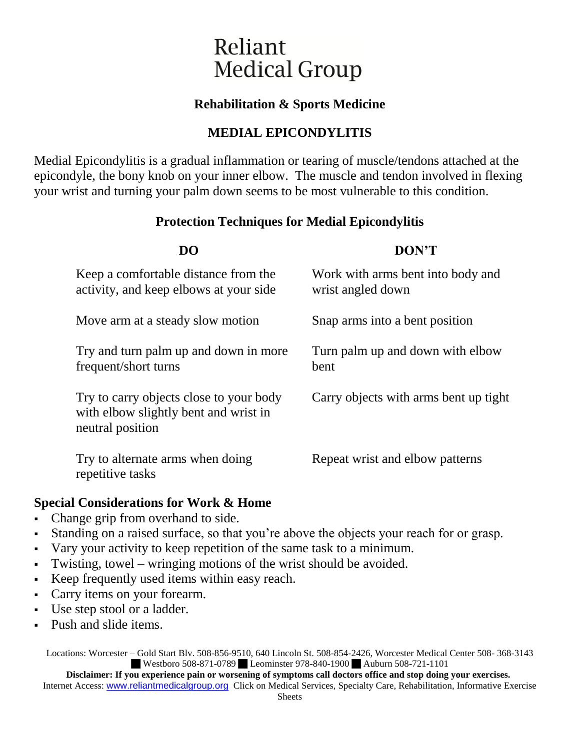# Reliant **Medical Group**

## **Rehabilitation & Sports Medicine**

## **MEDIAL EPICONDYLITIS**

Medial Epicondylitis is a gradual inflammation or tearing of muscle/tendons attached at the epicondyle, the bony knob on your inner elbow. The muscle and tendon involved in flexing your wrist and turning your palm down seems to be most vulnerable to this condition.

#### **Protection Techniques for Medial Epicondylitis**

| DO                                                                                                   | DON'T                                                  |
|------------------------------------------------------------------------------------------------------|--------------------------------------------------------|
| Keep a comfortable distance from the<br>activity, and keep elbows at your side                       | Work with arms bent into body and<br>wrist angled down |
| Move arm at a steady slow motion                                                                     | Snap arms into a bent position                         |
| Try and turn palm up and down in more<br>frequent/short turns                                        | Turn palm up and down with elbow<br>bent               |
| Try to carry objects close to your body<br>with elbow slightly bent and wrist in<br>neutral position | Carry objects with arms bent up tight                  |
| Try to alternate arms when doing<br>repetitive tasks                                                 | Repeat wrist and elbow patterns                        |

#### **Special Considerations for Work & Home**

- Change grip from overhand to side.
- Standing on a raised surface, so that you're above the objects your reach for or grasp.
- Vary your activity to keep repetition of the same task to a minimum.
- Twisting, towel wringing motions of the wrist should be avoided.
- Keep frequently used items within easy reach.
- Carry items on your forearm.
- Use step stool or a ladder.
- Push and slide items.

Locations: Worcester – Gold Start Blv. 508-856-9510, 640 Lincoln St. 508-854-2426, Worcester Medical Center 508- 368-3143 Westboro 508-871-0789 Leominster 978-840-1900 Auburn 508-721-1101

**Disclaimer: If you experience pain or worsening of symptoms call doctors office and stop doing your exercises.** Internet Access: www.reliantmedicalgroup.org Click on Medical Services, Specialty Care, Rehabilitation, Informative Exercise